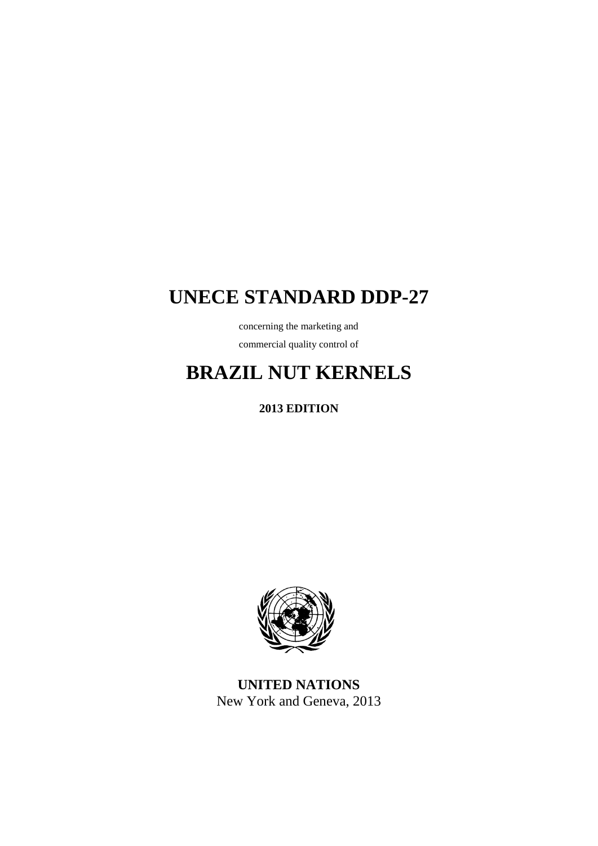# **UNECE STANDARD DDP-27**

concerning the marketing and commercial quality control of

# **BRAZIL NUT KERNELS**

**2013 EDITION**



**UNITED NATIONS** New York and Geneva, 2013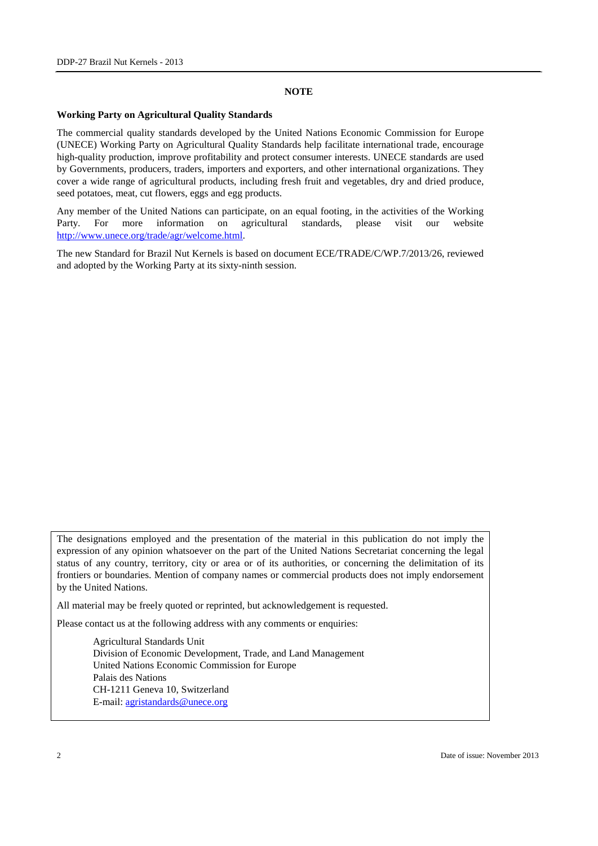#### **NOTE**

#### **Working Party on Agricultural Quality Standards**

The commercial quality standards developed by the United Nations Economic Commission for Europe (UNECE) Working Party on Agricultural Quality Standards help facilitate international trade, encourage high-quality production, improve profitability and protect consumer interests. UNECE standards are used by Governments, producers, traders, importers and exporters, and other international organizations. They cover a wide range of agricultural products, including fresh fruit and vegetables, dry and dried produce, seed potatoes, meat, cut flowers, eggs and egg products.

Any member of the United Nations can participate, on an equal footing, in the activities of the Working Party. For more information on agricultural standards, please visit our website [http://www.unece.org/trade/agr/welcome.html.](http://www.unece.org/trade/agr/welcome.html)

The new Standard for Brazil Nut Kernels is based on document ECE/TRADE/C/WP.7/2013/26, reviewed and adopted by the Working Party at its sixty-ninth session.

The designations employed and the presentation of the material in this publication do not imply the expression of any opinion whatsoever on the part of the United Nations Secretariat concerning the legal status of any country, territory, city or area or of its authorities, or concerning the delimitation of its frontiers or boundaries. Mention of company names or commercial products does not imply endorsement by the United Nations.

All material may be freely quoted or reprinted, but acknowledgement is requested.

Please contact us at the following address with any comments or enquiries:

Agricultural Standards Unit Division of Economic Development, Trade, and Land Management United Nations Economic Commission for Europe Palais des Nations CH-1211 Geneva 10, Switzerland E-mail: [agristandards@unece.org](mailto:agristandards@unece.org)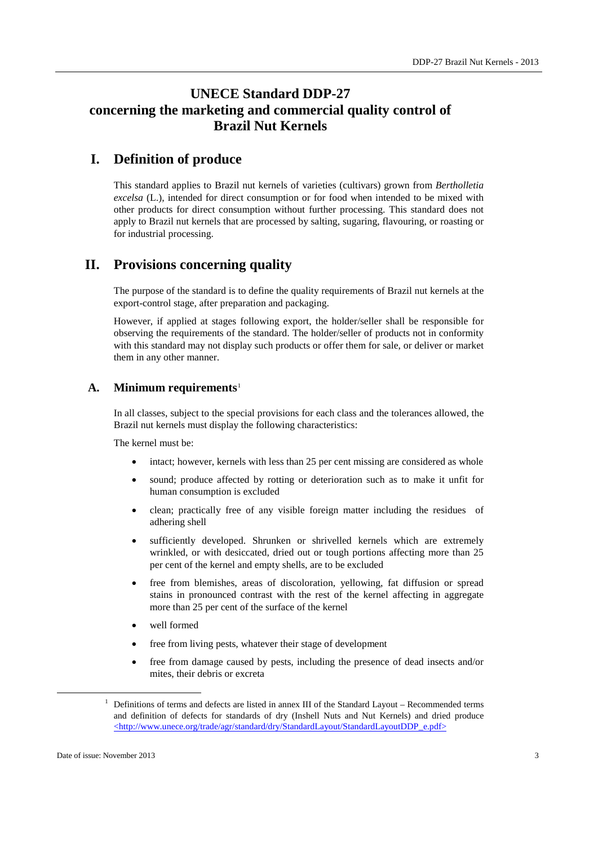## **UNECE Standard DDP-27 concerning the marketing and commercial quality control of Brazil Nut Kernels**

## **I. Definition of produce**

This standard applies to Brazil nut kernels of varieties (cultivars) grown from *Bertholletia excelsa* (L.), intended for direct consumption or for food when intended to be mixed with other products for direct consumption without further processing. This standard does not apply to Brazil nut kernels that are processed by salting, sugaring, flavouring, or roasting or for industrial processing.

## **II. Provisions concerning quality**

The purpose of the standard is to define the quality requirements of Brazil nut kernels at the export-control stage, after preparation and packaging.

However, if applied at stages following export, the holder/seller shall be responsible for observing the requirements of the standard. The holder/seller of products not in conformity with this standard may not display such products or offer them for sale, or deliver or market them in any other manner.

#### **A. Minimum requirements**[1](#page-2-0)

In all classes, subject to the special provisions for each class and the tolerances allowed, the Brazil nut kernels must display the following characteristics:

The kernel must be:

- intact; however, kernels with less than 25 per cent missing are considered as whole
- sound; produce affected by rotting or deterioration such as to make it unfit for human consumption is excluded
- clean; practically free of any visible foreign matter including the residues of adhering shell
- sufficiently developed. Shrunken or shrivelled kernels which are extremely wrinkled, or with desiccated, dried out or tough portions affecting more than 25 per cent of the kernel and empty shells, are to be excluded
- free from blemishes, areas of discoloration, yellowing, fat diffusion or spread stains in pronounced contrast with the rest of the kernel affecting in aggregate more than 25 per cent of the surface of the kernel
- well formed
- free from living pests, whatever their stage of development
- free from damage caused by pests, including the presence of dead insects and/or mites, their debris or excreta

<span id="page-2-0"></span> $1$  Definitions of terms and defects are listed in annex III of the Standard Layout – Recommended terms and definition of defects for standards of dry (Inshell Nuts and Nut Kernels) and dried produce [<http://www.unece.org/trade/agr/standard/dry/StandardLayout/StandardLayoutDDP\\_e.pdf>](http://www.unece.org/trade/agr/standard/dry/StandardLayout/StandardLayoutDDP_e.pdf)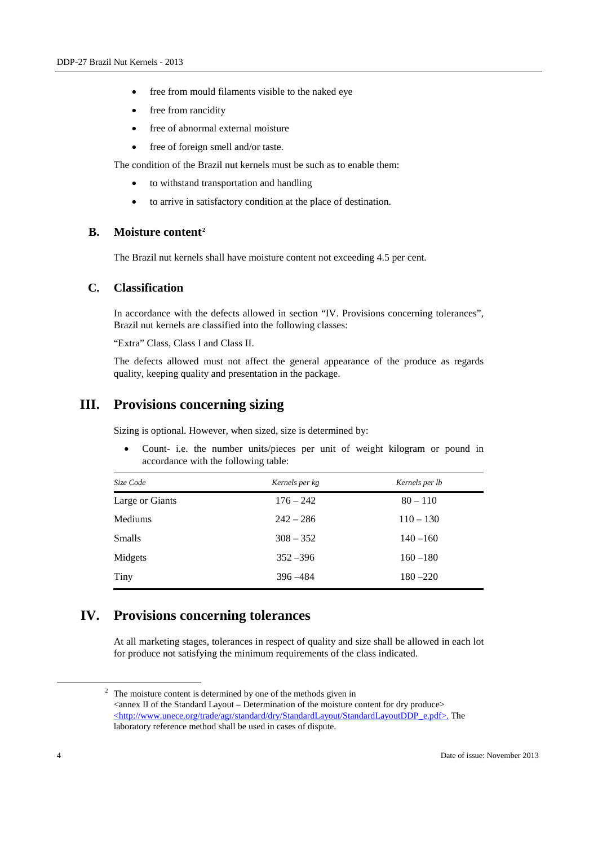- free from mould filaments visible to the naked eye
- free from rancidity
- free of abnormal external moisture
- free of foreign smell and/or taste.

The condition of the Brazil nut kernels must be such as to enable them:

- to withstand transportation and handling
- to arrive in satisfactory condition at the place of destination.

#### **B. Moisture content[2](#page-3-0)**

The Brazil nut kernels shall have moisture content not exceeding 4.5 per cent.

#### **C. Classification**

In accordance with the defects allowed in section "IV. Provisions concerning tolerances", Brazil nut kernels are classified into the following classes:

"Extra" Class, Class I and Class II.

The defects allowed must not affect the general appearance of the produce as regards quality, keeping quality and presentation in the package.

### **III. Provisions concerning sizing**

Sizing is optional. However, when sized, size is determined by:

• Count- i.e. the number units/pieces per unit of weight kilogram or pound in accordance with the following table:

| Size Code       | Kernels per kg | Kernels per lb |  |
|-----------------|----------------|----------------|--|
| Large or Giants | $176 - 242$    | $80 - 110$     |  |
| <b>Mediums</b>  | $242 - 286$    | $110 - 130$    |  |
| <b>Smalls</b>   | $308 - 352$    | $140 - 160$    |  |
| Midgets         | $352 - 396$    | $160 - 180$    |  |
| Tiny            | $396 - 484$    | $180 - 220$    |  |

## **IV. Provisions concerning tolerances**

At all marketing stages, tolerances in respect of quality and size shall be allowed in each lot for produce not satisfying the minimum requirements of the class indicated.

<span id="page-3-0"></span><sup>&</sup>lt;sup>2</sup> The moisture content is determined by one of the methods given in  $\alpha$  <annex II of the Standard Layout – Determination of the moisture content for dry produce [<http://www.unece.org/trade/agr/standard/dry/StandardLayout/StandardLayoutDDP\\_e.pdf>.](http://live.unece.org/fileadmin/DAM/trade/agr/standard/dry/e/2007_15_StandardLayoutDDP.doc) The laboratory reference method shall be used in cases of dispute.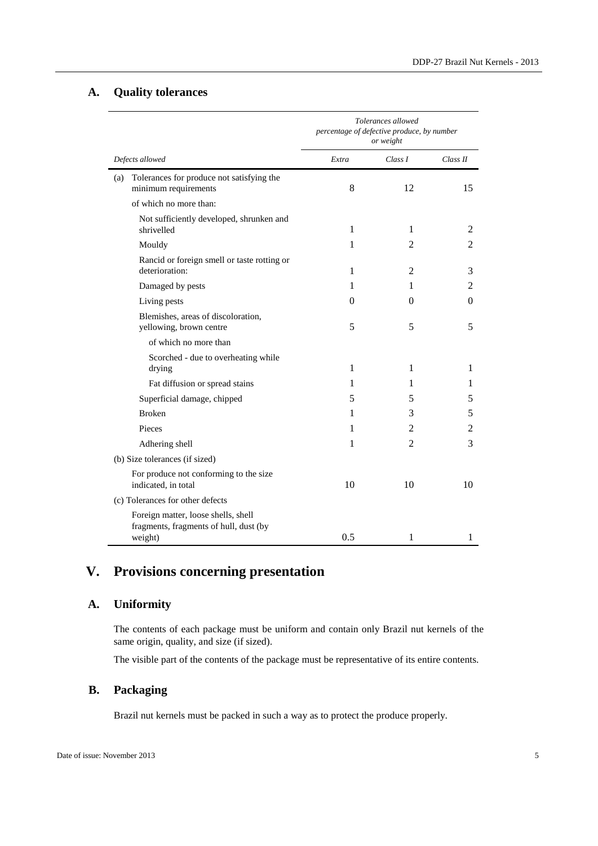#### **A. Quality tolerances**

 $\overline{a}$ 

|                 |                                                                               | Tolerances allowed<br>percentage of defective produce, by number<br>or weight |                |          |
|-----------------|-------------------------------------------------------------------------------|-------------------------------------------------------------------------------|----------------|----------|
| Defects allowed |                                                                               | Extra                                                                         | Class I        | Class II |
| (a)             | Tolerances for produce not satisfying the<br>minimum requirements             | 8                                                                             | 12             | 15       |
|                 | of which no more than:                                                        |                                                                               |                |          |
|                 | Not sufficiently developed, shrunken and<br>shrivelled                        | 1                                                                             | 1              | 2        |
|                 | Mouldy                                                                        | 1                                                                             | 2              | 2        |
|                 | Rancid or foreign smell or taste rotting or<br>deterioration:                 | 1                                                                             | 2              | 3        |
|                 | Damaged by pests                                                              | 1                                                                             | 1              | 2        |
|                 | Living pests                                                                  | 0                                                                             | 0              | 0        |
|                 | Blemishes, areas of discoloration,<br>yellowing, brown centre                 | 5                                                                             | 5              | 5        |
|                 | of which no more than                                                         |                                                                               |                |          |
|                 | Scorched - due to overheating while<br>drying                                 | 1                                                                             | 1              | 1        |
|                 | Fat diffusion or spread stains                                                | 1                                                                             | 1              | 1        |
|                 | Superficial damage, chipped                                                   | 5                                                                             | 5              | 5        |
|                 | <b>Broken</b>                                                                 | 1                                                                             | 3              | 5        |
|                 | Pieces                                                                        | 1                                                                             | 2              | 2        |
|                 | Adhering shell                                                                | 1                                                                             | $\overline{2}$ | 3        |
|                 | (b) Size tolerances (if sized)                                                |                                                                               |                |          |
|                 | For produce not conforming to the size<br>indicated, in total                 | 10                                                                            | 10             | 10       |
|                 | (c) Tolerances for other defects                                              |                                                                               |                |          |
|                 | Foreign matter, loose shells, shell<br>fragments, fragments of hull, dust (by |                                                                               |                |          |
|                 | weight)                                                                       | 0.5                                                                           | 1              | 1        |

## **V. Provisions concerning presentation**

### **A. Uniformity**

 $\overline{a}$ 

The contents of each package must be uniform and contain only Brazil nut kernels of the same origin, quality, and size (if sized).

The visible part of the contents of the package must be representative of its entire contents.

#### **B. Packaging**

Brazil nut kernels must be packed in such a way as to protect the produce properly.